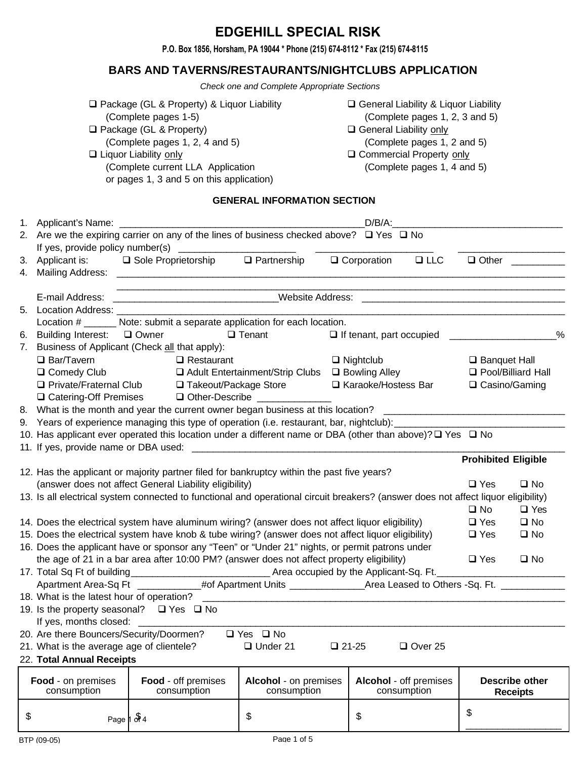# **EDGEHILL SPECIAL RISK**

**P.O. Box 1856, Horsham, PA 19044 \* Phone (215) 674-8112 \* Fax (215) 674-8115**

## **BARS AND TAVERNS/RESTAURANTS/NIGHTCLUBS APPLICATION**

Check one and Complete Appropriate Sections

| $\Box$ Package (GL & Property) & Liquor Liability<br>(Complete pages 1-5)                                                              | $\Box$ General Liability & Liquor Liability<br>(Complete pages 1, 2, 3 and 5) |
|----------------------------------------------------------------------------------------------------------------------------------------|-------------------------------------------------------------------------------|
| □ Package (GL & Property)                                                                                                              | $\Box$ General Liability only                                                 |
| (Complete pages 1, 2, 4 and 5)                                                                                                         | (Complete pages 1, 2 and 5)                                                   |
| $\Box$ Liquor Liability only                                                                                                           | □ Commercial Property only                                                    |
| (Complete current LLA Application                                                                                                      | (Complete pages 1, 4 and 5)                                                   |
| or pages 1, 3 and 5 on this application)                                                                                               |                                                                               |
| <b>GENERAL INFORMATION SECTION</b>                                                                                                     |                                                                               |
| 1. Applicant's Name:                                                                                                                   | $D/B/A$ :                                                                     |
| 2. Are we the expiring carrier on any of the lines of business checked above? $\Box$ Yes $\Box$ No<br>If yes, provide policy number(s) |                                                                               |
| m nasta asalah s<br>0. Applicant in the Cale Descriptionalists.                                                                        | $\Box$ $\Omega$ and a solution<br>$\Box$<br>$\Box$ $\Delta t$ $\Box$          |

|    | If yes, provide policy number(s)                                                                                                                                                                                                   |                       |                   |                                                                                                                                    |                                 |            |                            |                      |
|----|------------------------------------------------------------------------------------------------------------------------------------------------------------------------------------------------------------------------------------|-----------------------|-------------------|------------------------------------------------------------------------------------------------------------------------------------|---------------------------------|------------|----------------------------|----------------------|
| 3. | Applicant is:                                                                                                                                                                                                                      | □ Sole Proprietorship |                   | $\Box$ Partnership                                                                                                                 | $\Box$ Corporation              | $\Box$ LLC | $\Box$ Other               |                      |
| 4. | <b>Mailing Address:</b>                                                                                                                                                                                                            |                       |                   |                                                                                                                                    |                                 |            |                            |                      |
|    |                                                                                                                                                                                                                                    |                       |                   |                                                                                                                                    |                                 |            |                            |                      |
|    | E-mail Address:                                                                                                                                                                                                                    |                       |                   | <b>Website Address:</b>                                                                                                            |                                 |            |                            |                      |
| 5. | <b>Location Address: Contract Contract Contract Contract Contract Contract Contract Contract Contract Contract Contract Contract Contract Contract Contract Contract Contract Contract Contract Contract Contract Contract Con</b> |                       |                   |                                                                                                                                    |                                 |            |                            |                      |
|    |                                                                                                                                                                                                                                    |                       |                   | Location # _______ Note: submit a separate application for each location.                                                          |                                 |            |                            |                      |
| 6. | Building Interest: □ Owner                                                                                                                                                                                                         |                       |                   | $\Box$ Tenant                                                                                                                      | $\Box$ If tenant, part occupied |            |                            | $\frac{0}{0}$        |
| 7. | Business of Applicant (Check all that apply):                                                                                                                                                                                      |                       |                   |                                                                                                                                    |                                 |            |                            |                      |
|    | $\Box$ Bar/Tavern                                                                                                                                                                                                                  |                       | $\Box$ Restaurant |                                                                                                                                    | $\Box$ Nightclub                |            | $\Box$ Banquet Hall        |                      |
|    | □ Comedy Club                                                                                                                                                                                                                      |                       |                   | $\Box$ Adult Entertainment/Strip Clubs $\Box$ Bowling Alley                                                                        |                                 |            |                            | □ Pool/Billiard Hall |
|    | □ Private/Fraternal Club                                                                                                                                                                                                           |                       |                   | □ Takeout/Package Store                                                                                                            | □ Karaoke/Hostess Bar           |            | $\Box$ Casino/Gaming       |                      |
|    |                                                                                                                                                                                                                                    |                       |                   | □ Catering-Off Premises □ Other-Describe ___________                                                                               |                                 |            |                            |                      |
|    |                                                                                                                                                                                                                                    |                       |                   | 8. What is the month and year the current owner began business at this location?                                                   |                                 |            |                            |                      |
|    |                                                                                                                                                                                                                                    |                       |                   | 9. Years of experience managing this type of operation (i.e. restaurant, bar, nightclub):                                          |                                 |            |                            |                      |
|    |                                                                                                                                                                                                                                    |                       |                   | 10. Has applicant ever operated this location under a different name or DBA (other than above)? $\square$ Yes $\square$ No         |                                 |            |                            |                      |
|    |                                                                                                                                                                                                                                    |                       |                   |                                                                                                                                    |                                 |            |                            |                      |
|    |                                                                                                                                                                                                                                    |                       |                   |                                                                                                                                    |                                 |            | <b>Prohibited Eligible</b> |                      |
|    |                                                                                                                                                                                                                                    |                       |                   | 12. Has the applicant or majority partner filed for bankruptcy within the past five years?                                         |                                 |            |                            |                      |
|    | (answer does not affect General Liability eligibility)                                                                                                                                                                             |                       |                   |                                                                                                                                    |                                 |            | $\square$ Yes              | $\square$ No         |
|    |                                                                                                                                                                                                                                    |                       |                   | 13. Is all electrical system connected to functional and operational circuit breakers? (answer does not affect liquor eligibility) |                                 |            |                            |                      |
|    |                                                                                                                                                                                                                                    |                       |                   |                                                                                                                                    |                                 |            | $\square$ No               | $\Box$ Yes           |
|    |                                                                                                                                                                                                                                    |                       |                   | 14. Does the electrical system have aluminum wiring? (answer does not affect liquor eligibility)                                   |                                 |            | $\Box$ Yes                 | $\square$ No         |
|    |                                                                                                                                                                                                                                    |                       |                   | 15. Does the electrical system have knob & tube wiring? (answer does not affect liquor eligibility)                                |                                 |            | $\Box$ Yes                 | $\square$ No         |
|    |                                                                                                                                                                                                                                    |                       |                   | 16. Does the applicant have or sponsor any "Teen" or "Under 21" nights, or permit patrons under                                    |                                 |            |                            |                      |
|    |                                                                                                                                                                                                                                    |                       |                   | the age of 21 in a bar area after 10:00 PM? (answer does not affect property eligibility)                                          |                                 |            | $\Box$ Yes                 | $\square$ No         |
|    |                                                                                                                                                                                                                                    |                       |                   |                                                                                                                                    |                                 |            |                            |                      |
|    |                                                                                                                                                                                                                                    |                       |                   | Apartment Area-Sq Ft ______________#of Apartment Units ________________Area Leased to Others -Sq. Ft. _                            |                                 |            |                            |                      |
|    | 18. What is the latest hour of operation?                                                                                                                                                                                          |                       |                   |                                                                                                                                    |                                 |            |                            |                      |

| <b>Food</b> - on premises<br>aana                  | <b>Food</b> - off premises<br>aana, mandian | <b>Alcohol</b> - on premises |              | <b>Alcohol</b> - off premises<br>aana, manisha | Describe other |
|----------------------------------------------------|---------------------------------------------|------------------------------|--------------|------------------------------------------------|----------------|
| 22. Total Annual Receipts                          |                                             |                              |              |                                                |                |
| 21. What is the average age of clientele?          |                                             | $\Box$ Under 21              | $\Box$ 21-25 | $\Box$ Over 25                                 |                |
| 20. Are there Bouncers/Security/Doormen?           |                                             | $\Box$ Yes $\Box$ No         |              |                                                |                |
| If yes, months closed:                             |                                             |                              |              |                                                |                |
| 19. Is the property seasonal? $\Box$ Yes $\Box$ No |                                             |                              |              |                                                |                |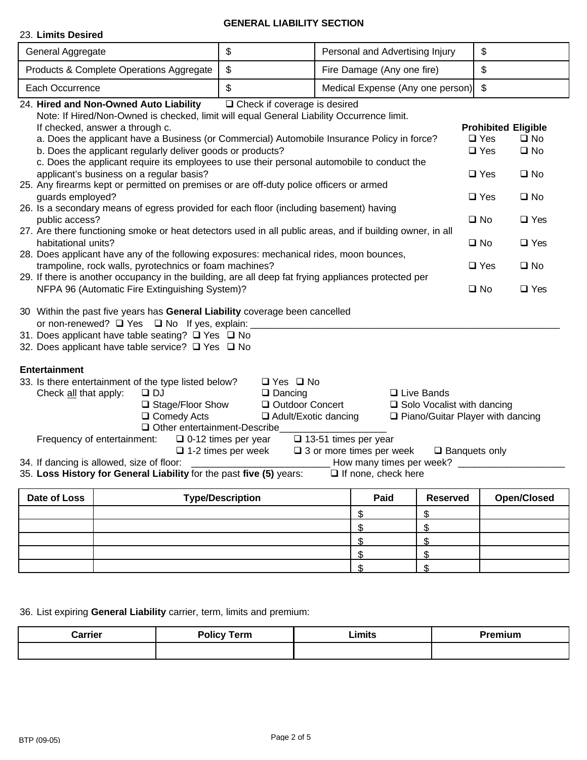## **GENERAL LIABILITY SECTION**

## 23. **Limits Desired**

| General Aggregate                                                                                          |                                                                                                                                                                                                                                                                                                                                                                                                                                                                                                                                                                                                                                                                                                                                                                                                                                                                                                                                                                                                                                                                                                                                                                                                                                                                                                                                                                                                                                                                                                                                    | $\$\$                                                                                                                                                      | Personal and Advertising Injury                                                           |                                                                                              | \$                                                                                                                                                                                                                                                                                        |
|------------------------------------------------------------------------------------------------------------|------------------------------------------------------------------------------------------------------------------------------------------------------------------------------------------------------------------------------------------------------------------------------------------------------------------------------------------------------------------------------------------------------------------------------------------------------------------------------------------------------------------------------------------------------------------------------------------------------------------------------------------------------------------------------------------------------------------------------------------------------------------------------------------------------------------------------------------------------------------------------------------------------------------------------------------------------------------------------------------------------------------------------------------------------------------------------------------------------------------------------------------------------------------------------------------------------------------------------------------------------------------------------------------------------------------------------------------------------------------------------------------------------------------------------------------------------------------------------------------------------------------------------------|------------------------------------------------------------------------------------------------------------------------------------------------------------|-------------------------------------------------------------------------------------------|----------------------------------------------------------------------------------------------|-------------------------------------------------------------------------------------------------------------------------------------------------------------------------------------------------------------------------------------------------------------------------------------------|
|                                                                                                            | Products & Complete Operations Aggregate                                                                                                                                                                                                                                                                                                                                                                                                                                                                                                                                                                                                                                                                                                                                                                                                                                                                                                                                                                                                                                                                                                                                                                                                                                                                                                                                                                                                                                                                                           | $\, \, \raisebox{12pt}{$\scriptstyle \$}$                                                                                                                  | Fire Damage (Any one fire)                                                                |                                                                                              | \$                                                                                                                                                                                                                                                                                        |
| Each Occurrence                                                                                            |                                                                                                                                                                                                                                                                                                                                                                                                                                                                                                                                                                                                                                                                                                                                                                                                                                                                                                                                                                                                                                                                                                                                                                                                                                                                                                                                                                                                                                                                                                                                    | \$                                                                                                                                                         | Medical Expense (Any one person)                                                          |                                                                                              | $\mathfrak{F}$                                                                                                                                                                                                                                                                            |
| guards employed?<br>public access?<br>habitational units?<br><b>Entertainment</b><br>Check all that apply: | 24. Hired and Non-Owned Auto Liability<br>Note: If Hired/Non-Owned is checked, limit will equal General Liability Occurrence limit.<br>If checked, answer a through c.<br>a. Does the applicant have a Business (or Commercial) Automobile Insurance Policy in force?<br>b. Does the applicant regularly deliver goods or products?<br>c. Does the applicant require its employees to use their personal automobile to conduct the<br>applicant's business on a regular basis?<br>25. Any firearms kept or permitted on premises or are off-duty police officers or armed<br>26. Is a secondary means of egress provided for each floor (including basement) having<br>27. Are there functioning smoke or heat detectors used in all public areas, and if building owner, in all<br>28. Does applicant have any of the following exposures: mechanical rides, moon bounces,<br>trampoline, rock walls, pyrotechnics or foam machines?<br>29. If there is another occupancy in the building, are all deep fat frying appliances protected per<br>NFPA 96 (Automatic Fire Extinguishing System)?<br>30 Within the past five years has General Liability coverage been cancelled<br>or non-renewed? □ Yes □ No If yes, explain:<br>31. Does applicant have table seating? □ Yes □ No<br>32. Does applicant have table service? □ Yes □ No<br>33. Is there entertainment of the type listed below?<br>$\Box$ DJ<br>$\Box$ Stage/Floor Show<br>$\Box$ Comedy Acts<br>$\Box$ Other entertainment-Describe<br>Frequency of entertainment: | $\Box$ Check if coverage is desired<br>$\Box$ Yes $\Box$ No<br>$\Box$ Dancing<br>□ Outdoor Concert<br>□ Adult/Exotic dancing<br>$\Box$ 0-12 times per year | $\Box$ 13-51 times per year                                                               | $\Box$ Live Bands<br>$\Box$ Solo Vocalist with dancing<br>□ Piano/Guitar Player with dancing | <b>Prohibited Eligible</b><br>$\square$ Yes<br>$\square$ No<br>$\Box$ Yes<br>$\square$ No<br>$\square$ Yes<br>$\square$ No<br>$\square$ No<br>$\Box$ Yes<br>$\square$ No<br>$\Box$ Yes<br>$\square$ No<br>$\square$ Yes<br>$\square$ Yes<br>$\square$ No<br>$\square$ No<br>$\square$ Yes |
|                                                                                                            | 34. If dancing is allowed, size of floor:<br>35. Loss History for General Liability for the past five (5) years:                                                                                                                                                                                                                                                                                                                                                                                                                                                                                                                                                                                                                                                                                                                                                                                                                                                                                                                                                                                                                                                                                                                                                                                                                                                                                                                                                                                                                   | $\Box$ 1-2 times per week                                                                                                                                  | $\Box$ 3 or more times per week<br>How many times per week?<br>$\Box$ If none, check here | $\square$ Banquets only                                                                      |                                                                                                                                                                                                                                                                                           |
| Date of Loss                                                                                               |                                                                                                                                                                                                                                                                                                                                                                                                                                                                                                                                                                                                                                                                                                                                                                                                                                                                                                                                                                                                                                                                                                                                                                                                                                                                                                                                                                                                                                                                                                                                    | <b>Type/Description</b>                                                                                                                                    | Paid                                                                                      | <b>Reserved</b>                                                                              | <b>Open/Closed</b>                                                                                                                                                                                                                                                                        |
|                                                                                                            |                                                                                                                                                                                                                                                                                                                                                                                                                                                                                                                                                                                                                                                                                                                                                                                                                                                                                                                                                                                                                                                                                                                                                                                                                                                                                                                                                                                                                                                                                                                                    |                                                                                                                                                            | \$                                                                                        | \$                                                                                           |                                                                                                                                                                                                                                                                                           |
|                                                                                                            |                                                                                                                                                                                                                                                                                                                                                                                                                                                                                                                                                                                                                                                                                                                                                                                                                                                                                                                                                                                                                                                                                                                                                                                                                                                                                                                                                                                                                                                                                                                                    |                                                                                                                                                            | \$                                                                                        | \$                                                                                           |                                                                                                                                                                                                                                                                                           |
|                                                                                                            |                                                                                                                                                                                                                                                                                                                                                                                                                                                                                                                                                                                                                                                                                                                                                                                                                                                                                                                                                                                                                                                                                                                                                                                                                                                                                                                                                                                                                                                                                                                                    |                                                                                                                                                            | \$                                                                                        | \$                                                                                           |                                                                                                                                                                                                                                                                                           |
|                                                                                                            |                                                                                                                                                                                                                                                                                                                                                                                                                                                                                                                                                                                                                                                                                                                                                                                                                                                                                                                                                                                                                                                                                                                                                                                                                                                                                                                                                                                                                                                                                                                                    |                                                                                                                                                            | \$                                                                                        | \$                                                                                           |                                                                                                                                                                                                                                                                                           |

36. List expiring **General Liability** carrier, term, limits and premium:

| Carrier | <b>Policy Term</b> | Limits | Premium                                                                                                         |
|---------|--------------------|--------|-----------------------------------------------------------------------------------------------------------------|
|         |                    | ______ | the contract of the contract of the contract of the contract of the contract of the contract of the contract of |
|         |                    |        |                                                                                                                 |

 $\frac{\text{S}}{\text{S}}$  \  $\frac{\text{S}}{\text{S}}$  $\begin{array}{ccc} \text{\$} & \text{\$} \end{array}$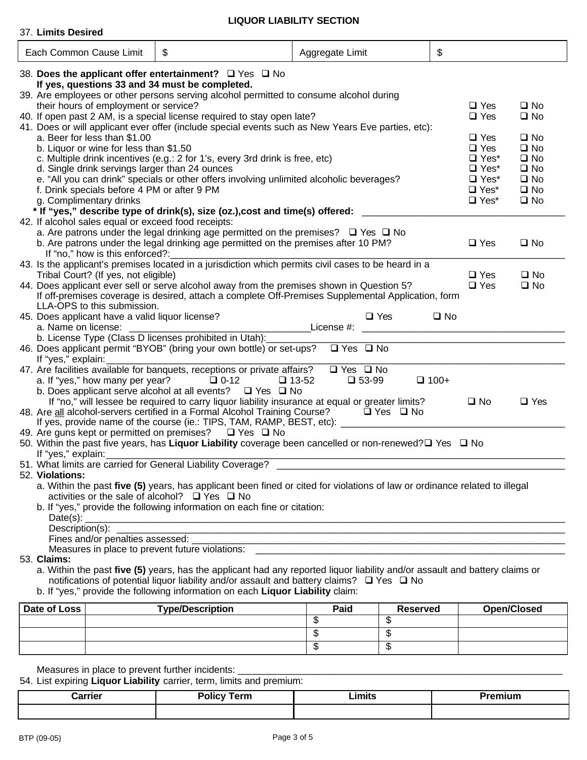# **LIQUOR LIABILITY SECTION**

| 37. Limits Desired                                                                                              |                                                                                                                                                                                                                                                                                                     |                                                                                                                                                                                                                                              |                                                                                                       |
|-----------------------------------------------------------------------------------------------------------------|-----------------------------------------------------------------------------------------------------------------------------------------------------------------------------------------------------------------------------------------------------------------------------------------------------|----------------------------------------------------------------------------------------------------------------------------------------------------------------------------------------------------------------------------------------------|-------------------------------------------------------------------------------------------------------|
| Each Common Cause Limit                                                                                         | \$                                                                                                                                                                                                                                                                                                  | Aggregate Limit                                                                                                                                                                                                                              | \$                                                                                                    |
| 38. Does the applicant offer entertainment? Q Yes Q No<br>If yes, questions 33 and 34 must be completed.        | 39. Are employees or other persons serving alcohol permitted to consume alcohol during                                                                                                                                                                                                              |                                                                                                                                                                                                                                              |                                                                                                       |
| their hours of employment or service?                                                                           | 40. If open past 2 AM, is a special license required to stay open late?                                                                                                                                                                                                                             | 41. Does or will applicant ever offer (include special events such as New Years Eve parties, etc):                                                                                                                                           | $\Box$ Yes<br>$\square$ No<br>$\square$ No<br>$\Box$ Yes                                              |
| a. Beer for less than \$1.00<br>b. Liquor or wine for less than \$1.50                                          |                                                                                                                                                                                                                                                                                                     |                                                                                                                                                                                                                                              | $\Box$ Yes<br>$\square$ No<br>$\Box$ Yes<br>$\square$ No                                              |
| d. Single drink servings larger than 24 ounces                                                                  | c. Multiple drink incentives (e.g.: 2 for 1's, every 3rd drink is free, etc)<br>e. "All you can drink" specials or other offers involving unlimited alcoholic beverages?                                                                                                                            |                                                                                                                                                                                                                                              | $\Box$ Yes <sup>*</sup><br>$\square$ No<br>$\Box$ Yes*<br>$\square$ No<br>$\square$ No<br>$\Box$ Yes* |
| f. Drink specials before 4 PM or after 9 PM<br>g. Complimentary drinks                                          |                                                                                                                                                                                                                                                                                                     |                                                                                                                                                                                                                                              | $\square$ No<br>$\Box$ Yes*<br>$\Box$ Yes*<br>$\square$ No                                            |
| 42. If alcohol sales equal or exceed food receipts:                                                             | a. Are patrons under the legal drinking age permitted on the premises? $\Box$ Yes $\Box$ No<br>b. Are patrons under the legal drinking age permitted on the premises after 10 PM?                                                                                                                   | * If "yes," describe type of drink(s), size (oz.),cost and time(s) offered: ____________                                                                                                                                                     | $\Box$ Yes<br>$\square$ No                                                                            |
| If "no," how is this enforced?:<br>Tribal Court? (If yes, not eligible)                                         |                                                                                                                                                                                                                                                                                                     | 43. Is the applicant's premises located in a jurisdiction which permits civil cases to be heard in a                                                                                                                                         | $\square$ Yes<br>$\square$ No                                                                         |
| LLA-OPS to this submission.                                                                                     | 44. Does applicant ever sell or serve alcohol away from the premises shown in Question 5?                                                                                                                                                                                                           | If off-premises coverage is desired, attach a complete Off-Premises Supplemental Application, form                                                                                                                                           | $\square$ Yes<br>$\square$ No                                                                         |
| 45. Does applicant have a valid liquor license?<br>a. Name on license:                                          | b. License Type (Class D licenses prohibited in Utah):                                                                                                                                                                                                                                              | $\Box$ Yes<br>License #: the contract of the contract of the contract of the contract of the contract of the contract of the contract of the contract of the contract of the contract of the contract of the contract of the contract of the | $\square$ No                                                                                          |
| If "yes," explain:                                                                                              | 46. Does applicant permit "BYOB" (bring your own bottle) or set-ups?                                                                                                                                                                                                                                | $\Box$ Yes $\Box$ No                                                                                                                                                                                                                         |                                                                                                       |
| a. If "yes," how many per year? $\Box$ 0-12                                                                     | 47. Are facilities available for banquets, receptions or private affairs?<br>b. Does applicant serve alcohol at all events? □ Yes □ No                                                                                                                                                              | $\Box$ Yes $\Box$ No<br>$\Box$ 53-99<br>$\Box$ 13-52                                                                                                                                                                                         | $\Box$ 100+                                                                                           |
|                                                                                                                 | If "no," will lessee be required to carry liquor liability insurance at equal or greater limits?<br>48. Are all alcohol-servers certified in a Formal Alcohol Training Course? $\square$ Yes $\square$ No<br>If yes, provide name of the course (ie.: TIPS, TAM, RAMP, BEST, etc): ________________ |                                                                                                                                                                                                                                              | $\Box$ Yes<br>$\square$ No                                                                            |
|                                                                                                                 |                                                                                                                                                                                                                                                                                                     | 50. Within the past five years, has Liquor Liability coverage been cancelled or non-renewed? DYes D No                                                                                                                                       |                                                                                                       |
| 52. Violations:<br>activities or the sale of alcohol? $\Box$ Yes $\Box$ No<br>Date(s): $\overline{\phantom{a}}$ | b. If "yes," provide the following information on each fine or citation:                                                                                                                                                                                                                            | a. Within the past five (5) years, has applicant been fined or cited for violations of law or ordinance related to illegal                                                                                                                   |                                                                                                       |
|                                                                                                                 |                                                                                                                                                                                                                                                                                                     | Fines and/or penalties assessed:                                                                                                                                                                                                             |                                                                                                       |
| 53. Claims:                                                                                                     | notifications of potential liquor liability and/or assault and battery claims? □ Yes □ No<br>b. If "yes," provide the following information on each Liquor Liability claim:                                                                                                                         | a. Within the past five (5) years, has the applicant had any reported liquor liability and/or assault and battery claims or                                                                                                                  |                                                                                                       |

| Date of Loss | <b>Type/Description</b> | Paid | Reserved | <b>Open/Closed</b> |
|--------------|-------------------------|------|----------|--------------------|
|              |                         | w    | ۰IJ      |                    |
|              |                         | w    | - 11     |                    |
|              |                         | w    | ۰D       |                    |

Measures in place to prevent further incidents: \_\_\_\_\_\_\_\_\_\_\_\_\_\_\_\_\_\_\_\_\_\_\_\_\_\_\_\_\_\_\_\_\_\_\_\_\_\_\_\_\_\_\_\_\_\_\_\_\_\_\_\_\_\_\_\_\_\_\_\_\_

54. List expiring **Liquor Liability** carrier, term, limits and premium:

| <b>Carrier</b> | Policy Term | Limits | Premium |
|----------------|-------------|--------|---------|
|                |             |        |         |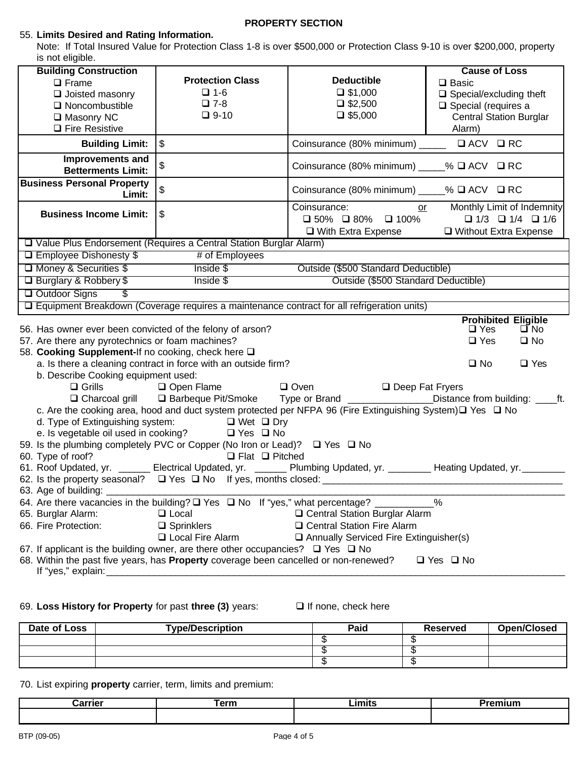## **PROPERTY SECTION**

## 55. **Limits Desired and Rating Information.**

Note: If Total Insured Value for Protection Class 1-8 is over \$500,000 or Protection Class 9-10 is over \$200,000, property is not eligible.

| is riot eligible.                                                           |                                                                                                                                                                                   |                                                                                                                            |                                                                                                      |  |
|-----------------------------------------------------------------------------|-----------------------------------------------------------------------------------------------------------------------------------------------------------------------------------|----------------------------------------------------------------------------------------------------------------------------|------------------------------------------------------------------------------------------------------|--|
| <b>Building Construction</b>                                                |                                                                                                                                                                                   |                                                                                                                            | <b>Cause of Loss</b>                                                                                 |  |
| $\Box$ Frame                                                                | <b>Protection Class</b>                                                                                                                                                           | <b>Deductible</b>                                                                                                          | $\square$ Basic                                                                                      |  |
| $\Box$ Joisted masonry                                                      | $\Box$ 1-6                                                                                                                                                                        | $\Box$ \$1,000                                                                                                             | $\Box$ Special/excluding theft                                                                       |  |
| $\Box$ Noncombustible                                                       | $\square$ 7-8                                                                                                                                                                     | $\Box$ \$2,500                                                                                                             | $\Box$ Special (requires a                                                                           |  |
| □ Masonry NC                                                                | $\Box$ 9-10                                                                                                                                                                       | $\Box$ \$5,000                                                                                                             | <b>Central Station Burglar</b>                                                                       |  |
| $\Box$ Fire Resistive                                                       |                                                                                                                                                                                   |                                                                                                                            | Alarm)                                                                                               |  |
| <b>Building Limit:</b>                                                      | $\sqrt[6]{2}$                                                                                                                                                                     | Coinsurance (80% minimum) _____ □ ACV □ RC                                                                                 |                                                                                                      |  |
| Improvements and<br><b>Betterments Limit:</b>                               | \$                                                                                                                                                                                | Coinsurance (80% minimum) ____% □ ACV □ RC                                                                                 |                                                                                                      |  |
| <b>Business Personal Property</b><br>Limit:                                 | \$                                                                                                                                                                                | Coinsurance (80% minimum) ____% □ ACV □ RC                                                                                 |                                                                                                      |  |
| <b>Business Income Limit:</b>                                               | \$                                                                                                                                                                                | Coinsurance:<br>$\square$ 50% $\square$ 80% $\square$ 100%<br>$\Box$ With Extra Expense                                    | Monthly Limit of Indemnity<br>or<br>$\Box$ 1/3 $\Box$ 1/4 $\Box$ 1/6<br>$\Box$ Without Extra Expense |  |
|                                                                             | □ Value Plus Endorsement (Requires a Central Station Burglar Alarm)                                                                                                               |                                                                                                                            |                                                                                                      |  |
| □ Employee Dishonesty \$                                                    | # of Employees                                                                                                                                                                    |                                                                                                                            |                                                                                                      |  |
| □ Money & Securities \$                                                     | Inside \$                                                                                                                                                                         | Outside (\$500 Standard Deductible)                                                                                        |                                                                                                      |  |
| Outside (\$500 Standard Deductible)<br>□ Burglary & Robbery \$<br>Inside \$ |                                                                                                                                                                                   |                                                                                                                            |                                                                                                      |  |
| Outdoor Signs<br>$\overline{\mathcal{S}}$                                   |                                                                                                                                                                                   |                                                                                                                            |                                                                                                      |  |
|                                                                             |                                                                                                                                                                                   | □ Equipment Breakdown (Coverage requires a maintenance contract for all refrigeration units)                               |                                                                                                      |  |
|                                                                             |                                                                                                                                                                                   |                                                                                                                            | <b>Prohibited Eligible</b>                                                                           |  |
| 56. Has owner ever been convicted of the felony of arson?                   |                                                                                                                                                                                   |                                                                                                                            |                                                                                                      |  |
|                                                                             |                                                                                                                                                                                   |                                                                                                                            | $\square$ Yes<br>$\square$ No                                                                        |  |
| 57. Are there any pyrotechnics or foam machines?                            |                                                                                                                                                                                   |                                                                                                                            | $\Box$ Yes<br>$\square$ No                                                                           |  |
| 58. Cooking Supplement-If no cooking, check here Q                          |                                                                                                                                                                                   |                                                                                                                            |                                                                                                      |  |
|                                                                             | a. Is there a cleaning contract in force with an outside firm?                                                                                                                    |                                                                                                                            | $\square$ No<br>$\Box$ Yes                                                                           |  |
| b. Describe Cooking equipment used:                                         |                                                                                                                                                                                   |                                                                                                                            |                                                                                                      |  |
| $\Box$ Grills                                                               | Oven<br>Open Flame                                                                                                                                                                | Deep Fat Fryers                                                                                                            |                                                                                                      |  |
|                                                                             |                                                                                                                                                                                   | □ Charcoal grill □ Barbeque Pit/Smoke Type or Brand _______________Distance from building: ____ft.                         |                                                                                                      |  |
|                                                                             |                                                                                                                                                                                   | c. Are the cooking area, hood and duct system protected per NFPA 96 (Fire Extinguishing System) $\square$ Yes $\square$ No |                                                                                                      |  |
|                                                                             | d. Type of Extinguishing system: □ Wet □ Dry                                                                                                                                      |                                                                                                                            |                                                                                                      |  |
|                                                                             | e. Is vegetable oil used in cooking? $\Box$ Yes $\Box$ No                                                                                                                         |                                                                                                                            |                                                                                                      |  |
|                                                                             | 59. Is the plumbing completely PVC or Copper (No Iron or Lead)? □ Yes □ No                                                                                                        |                                                                                                                            |                                                                                                      |  |
| 60. Type of roof?                                                           | $\Box$ Flat $\Box$ Pitched                                                                                                                                                        |                                                                                                                            |                                                                                                      |  |
|                                                                             |                                                                                                                                                                                   | 61. Roof Updated, yr. ______ Electrical Updated, yr. ______ Plumbing Updated, yr. _______ Heating Updated, yr. _______     |                                                                                                      |  |
|                                                                             |                                                                                                                                                                                   |                                                                                                                            |                                                                                                      |  |
| 63. Age of building: __                                                     |                                                                                                                                                                                   |                                                                                                                            | %                                                                                                    |  |
|                                                                             | 64. Are there vacancies in the building? $\square$ Yes $\square$ No If "yes," what percentage? _<br>$\Box$ Local                                                                  | □ Central Station Burglar Alarm                                                                                            |                                                                                                      |  |
| 65. Burglar Alarm:<br>66. Fire Protection:                                  |                                                                                                                                                                                   | □ Central Station Fire Alarm                                                                                               |                                                                                                      |  |
|                                                                             | $\square$ Sprinklers<br><b>Q</b> Local Fire Alarm                                                                                                                                 |                                                                                                                            |                                                                                                      |  |
|                                                                             |                                                                                                                                                                                   | Annually Serviced Fire Extinguisher(s)                                                                                     |                                                                                                      |  |
| If "yes," explain:                                                          | 67. If applicant is the building owner, are there other occupancies? $\Box$ Yes $\Box$ No<br>68. Within the past five years, has Property coverage been cancelled or non-renewed? |                                                                                                                            | $\Box$ Yes $\Box$ No                                                                                 |  |

### 69. Loss History for Property for past three (3) years:  $\Box$  If none, check here

| Date of Loss | <b>Type/Description</b> | Paid | Reserved | <b>Open/Closed</b> |
|--------------|-------------------------|------|----------|--------------------|
|              |                         |      |          |                    |
|              |                         |      |          |                    |
|              |                         |      | $\cdots$ |                    |

### 70. List expiring **property** carrier, term, limits and premium:

| :arrier | τerm | .imits<br>------ | ш |
|---------|------|------------------|---|
|         |      |                  |   |